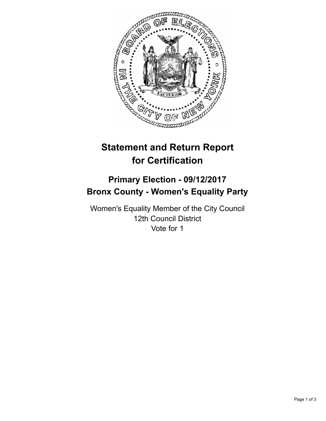

# **Statement and Return Report for Certification**

## **Primary Election - 09/12/2017 Bronx County - Women's Equality Party**

Women's Equality Member of the City Council 12th Council District Vote for 1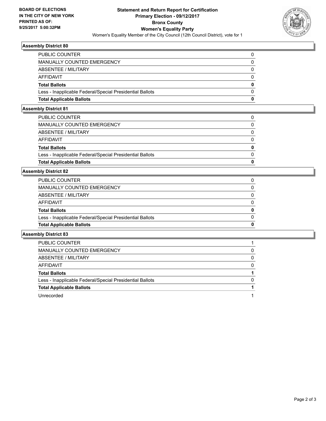

## **Assembly District 80**

| <b>Total Applicable Ballots</b>                          | 0 |
|----------------------------------------------------------|---|
| Less - Inapplicable Federal/Special Presidential Ballots |   |
| <b>Total Ballots</b>                                     | 0 |
| AFFIDAVIT                                                |   |
| ABSENTEE / MILITARY                                      |   |
| MANUALLY COUNTED EMERGENCY                               |   |
| <b>PUBLIC COUNTER</b>                                    |   |

## **Assembly District 81**

| <b>Total Applicable Ballots</b>                          | O            |
|----------------------------------------------------------|--------------|
| Less - Inapplicable Federal/Special Presidential Ballots | $\Omega$     |
| <b>Total Ballots</b>                                     | $\mathbf{0}$ |
| AFFIDAVIT                                                | $\Omega$     |
| ABSENTEE / MILITARY                                      | $\mathbf{0}$ |
| MANUALLY COUNTED EMERGENCY                               | $\Omega$     |
| PUBLIC COUNTER                                           | 0            |

## **Assembly District 82**

| PUBLIC COUNTER                                           | 0            |
|----------------------------------------------------------|--------------|
| <b>MANUALLY COUNTED EMERGENCY</b>                        | $\Omega$     |
| ABSENTEE / MILITARY                                      | $\Omega$     |
| <b>AFFIDAVIT</b>                                         | 0            |
| <b>Total Ballots</b>                                     | $\mathbf{0}$ |
| Less - Inapplicable Federal/Special Presidential Ballots | 0            |
| <b>Total Applicable Ballots</b>                          | 0            |
|                                                          |              |

## **Assembly District 83**

| PUBLIC COUNTER                                           |   |
|----------------------------------------------------------|---|
| MANUALLY COUNTED EMERGENCY                               | 0 |
| ABSENTEE / MILITARY                                      | 0 |
| AFFIDAVIT                                                | 0 |
| <b>Total Ballots</b>                                     |   |
| Less - Inapplicable Federal/Special Presidential Ballots | 0 |
| <b>Total Applicable Ballots</b>                          |   |
| Unrecorded                                               |   |